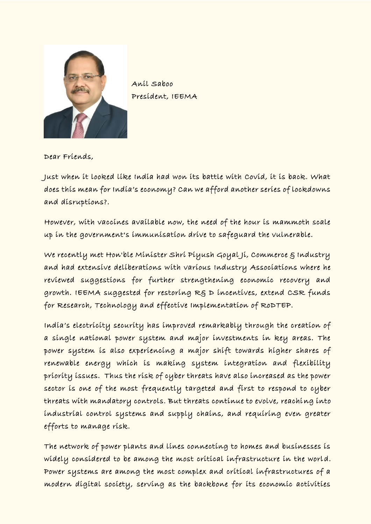

Anil Saboo President, IEEMA

Dear Friends,

Just when it looked like India had won its battle with Covid, it is back. What does this mean for India's economy? Can we afford another series of lockdowns and disruptions?.

However, with vaccines available now, the need of the hour is mammoth scale up in the government's immunisation drive to safeguard the vulnerable.

We recently met Hon'ble Minister Shri Piyush Goyal Ji, Commerce & Industry and had extensive deliberations with various Industry Associations where he reviewed suggestions for further strengthening economic recovery and growth. IEEMA suggested for restoring R& D incentives, extend CSR funds for Research, Technology and effective Implementation of RoDTEP.

India's electricity security has improved remarkably through the creation of a single national power system and major investments in key areas. The power system is also experiencing a major shift towards higher shares of renewable energy which is making system integration and flexibility priority issues. Thus the risk of cyber threats have also increased as the power sector is one of the most frequently targeted and first to respond to cyber threats with mandatory controls. But threats continue to evolve, reaching into industrial control systems and supply chains, and requiring even greater efforts to manage risk.

The network of power plants and lines connecting to homes and businesses is widely considered to be among the most critical infrastructure in the world. Power systems are among the most complex and critical infrastructures of a modern digital society, serving as the backbone for its economic activities